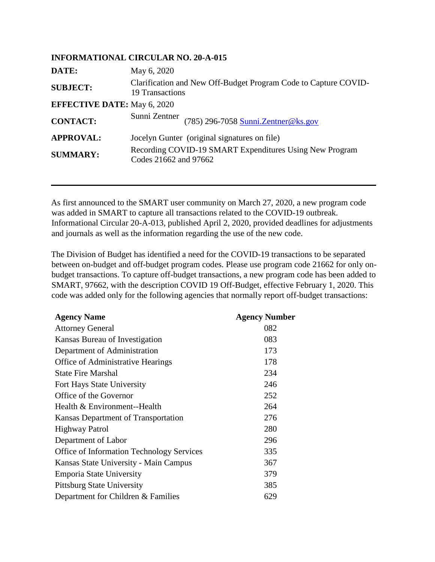|                                    | <b>INFORMATIONAL CIRCULAR NO. 20-A-015</b>                                         |
|------------------------------------|------------------------------------------------------------------------------------|
| DATE:                              | May 6, 2020                                                                        |
| <b>SUBJECT:</b>                    | Clarification and New Off-Budget Program Code to Capture COVID-<br>19 Transactions |
| <b>EFFECTIVE DATE:</b> May 6, 2020 |                                                                                    |
| <b>CONTACT:</b>                    | Sunni Zentner (785) 296-7058 Sunni Zentner@ks.gov                                  |
| <b>APPROVAL:</b>                   | Jocelyn Gunter (original signatures on file)                                       |
| <b>SUMMARY:</b>                    | Recording COVID-19 SMART Expenditures Using New Program<br>Codes 21662 and 97662   |

As first announced to the SMART user community on March 27, 2020, a new program code was added in SMART to capture all transactions related to the COVID-19 outbreak. Informational Circular 20-A-013, published April 2, 2020, provided deadlines for adjustments and journals as well as the information regarding the use of the new code.

The Division of Budget has identified a need for the COVID-19 transactions to be separated between on-budget and off-budget program codes. Please use program code 21662 for only onbudget transactions. To capture off-budget transactions, a new program code has been added to SMART, 97662, with the description COVID 19 Off-Budget, effective February 1, 2020. This code was added only for the following agencies that normally report off-budget transactions:

| <b>Agency Name</b>                               | <b>Agency Number</b> |
|--------------------------------------------------|----------------------|
| <b>Attorney General</b>                          | 082                  |
| Kansas Bureau of Investigation                   | 083                  |
| Department of Administration                     | 173                  |
| Office of Administrative Hearings                | 178                  |
| <b>State Fire Marshal</b>                        | 234                  |
| Fort Hays State University                       | 246                  |
| Office of the Governor                           | 252                  |
| Health & Environment--Health                     | 264                  |
| Kansas Department of Transportation              | 276                  |
| <b>Highway Patrol</b>                            | 280                  |
| Department of Labor                              | 296                  |
| <b>Office of Information Technology Services</b> | 335                  |
| Kansas State University - Main Campus            | 367                  |
| Emporia State University                         | 379                  |
| <b>Pittsburg State University</b>                | 385                  |
| Department for Children & Families               | 629                  |